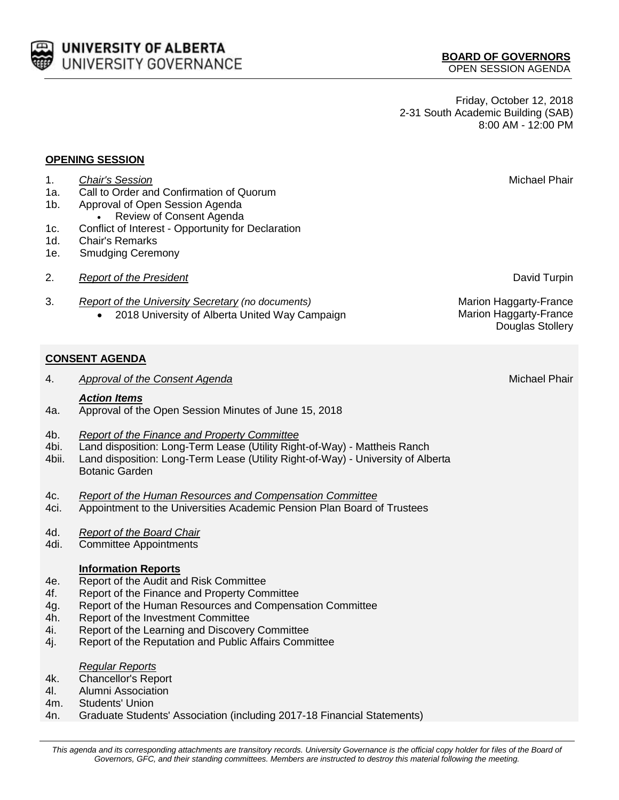**BOARD OF GOVERNORS** OPEN SESSION AGENDA

Friday, October 12, 2018 2-31 South Academic Building (SAB) 8:00 AM - 12:00 PM

#### **OPENING SESSION**

- 1a. Call to Order and Confirmation of Quorum
- 1b. Approval of Open Session Agenda
- Review of Consent Agenda
- 1c. Conflict of Interest Opportunity for Declaration
- 1d. Chair's Remarks
- 1e. Smudging Ceremony
- 2. *Report of the President* David Turpin
- 3. *Report of the University Secretary (no documents)* Marion Haggarty-France • 2018 University of Alberta United Way Campaign Marion Haggarty-France

# **CONSENT AGENDA**

4. *Approval of the Consent Agenda* Michael Phair

## *Action Items*

- 4a. Approval of the Open Session Minutes of June 15, 2018
- 4b. *Report of the Finance and Property Committee*
- 4bi. Land disposition: Long-Term Lease (Utility Right-of-Way) Mattheis Ranch
- 4bii. Land disposition: Long-Term Lease (Utility Right-of-Way) University of Alberta Botanic Garden
- 4c. *Report of the Human Resources and Compensation Committee*
- 4ci. Appointment to the Universities Academic Pension Plan Board of Trustees
- 4d. *Report of the Board Chair*
- 4di. Committee Appointments

### **Information Reports**

- 4e. Report of the Audit and Risk Committee
- 4f. Report of the Finance and Property Committee
- 4g. Report of the Human Resources and Compensation Committee
- 4h. Report of the Investment Committee
- 4i. Report of the Learning and Discovery Committee
- 4j. Report of the Reputation and Public Affairs Committee

#### *Regular Reports*

- 4k. Chancellor's Report
- 4l. Alumni Association
- 4m. Students' Union
- 4n. Graduate Students' Association (including 2017-18 Financial Statements)

Douglas Stollery

1. *Chair's Session* Michael Phair

UNIVERSITY OF ALBERTA UNIVERSITY GOVERNANCE